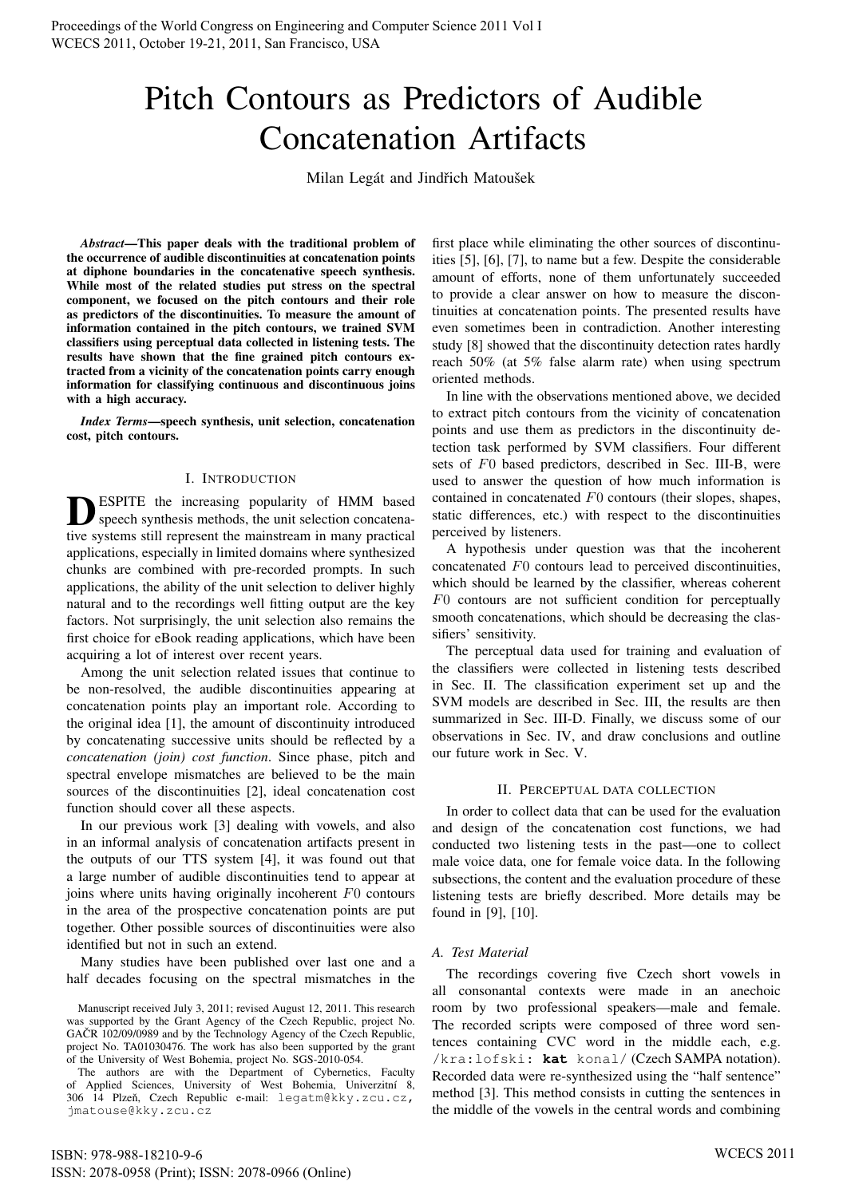# Pitch Contours as Predictors of Audible Concatenation Artifacts

Milan Legát and Jindřich Matoušek

*Abstract*—This paper deals with the traditional problem of the occurrence of audible discontinuities at concatenation points at diphone boundaries in the concatenative speech synthesis. While most of the related studies put stress on the spectral component, we focused on the pitch contours and their role as predictors of the discontinuities. To measure the amount of information contained in the pitch contours, we trained SVM classifiers using perceptual data collected in listening tests. The results have shown that the fine grained pitch contours extracted from a vicinity of the concatenation points carry enough information for classifying continuous and discontinuous joins with a high accuracy.

*Index Terms*—speech synthesis, unit selection, concatenation cost, pitch contours.

## I. INTRODUCTION

**D** ESPITE the increasing popularity of HMM based speech synthesis methods, the unit selection concatenative systems still represent the mainstream in many practical ESPITE the increasing popularity of HMM based speech synthesis methods, the unit selection concatenaapplications, especially in limited domains where synthesized chunks are combined with pre-recorded prompts. In such applications, the ability of the unit selection to deliver highly natural and to the recordings well fitting output are the key factors. Not surprisingly, the unit selection also remains the first choice for eBook reading applications, which have been acquiring a lot of interest over recent years.

Among the unit selection related issues that continue to be non-resolved, the audible discontinuities appearing at concatenation points play an important role. According to the original idea [1], the amount of discontinuity introduced by concatenating successive units should be reflected by a *concatenation (join) cost function*. Since phase, pitch and spectral envelope mismatches are believed to be the main sources of the discontinuities [2], ideal concatenation cost function should cover all these aspects.

In our previous work [3] dealing with vowels, and also in an informal analysis of concatenation artifacts present in the outputs of our TTS system [4], it was found out that a large number of audible discontinuities tend to appear at joins where units having originally incoherent F0 contours in the area of the prospective concatenation points are put together. Other possible sources of discontinuities were also identified but not in such an extend.

Many studies have been published over last one and a half decades focusing on the spectral mismatches in the first place while eliminating the other sources of discontinuities [5], [6], [7], to name but a few. Despite the considerable amount of efforts, none of them unfortunately succeeded to provide a clear answer on how to measure the discontinuities at concatenation points. The presented results have even sometimes been in contradiction. Another interesting study [8] showed that the discontinuity detection rates hardly reach 50% (at 5% false alarm rate) when using spectrum oriented methods.

In line with the observations mentioned above, we decided to extract pitch contours from the vicinity of concatenation points and use them as predictors in the discontinuity detection task performed by SVM classifiers. Four different sets of F0 based predictors, described in Sec. III-B, were used to answer the question of how much information is contained in concatenated F0 contours (their slopes, shapes, static differences, etc.) with respect to the discontinuities perceived by listeners.

A hypothesis under question was that the incoherent concatenated F0 contours lead to perceived discontinuities, which should be learned by the classifier, whereas coherent F0 contours are not sufficient condition for perceptually smooth concatenations, which should be decreasing the classifiers' sensitivity.

The perceptual data used for training and evaluation of the classifiers were collected in listening tests described in Sec. II. The classification experiment set up and the SVM models are described in Sec. III, the results are then summarized in Sec. III-D. Finally, we discuss some of our observations in Sec. IV, and draw conclusions and outline our future work in Sec. V.

## II. PERCEPTUAL DATA COLLECTION

In order to collect data that can be used for the evaluation and design of the concatenation cost functions, we had conducted two listening tests in the past—one to collect male voice data, one for female voice data. In the following subsections, the content and the evaluation procedure of these listening tests are briefly described. More details may be found in [9], [10].

## *A. Test Material*

The recordings covering five Czech short vowels in all consonantal contexts were made in an anechoic room by two professional speakers—male and female. The recorded scripts were composed of three word sentences containing CVC word in the middle each, e.g. /kra:lofski: **kat** konal/ (Czech SAMPA notation). Recorded data were re-synthesized using the "half sentence" method [3]. This method consists in cutting the sentences in the middle of the vowels in the central words and combining

Manuscript received July 3, 2011; revised August 12, 2011. This research was supported by the Grant Agency of the Czech Republic, project No. GAČR 102/09/0989 and by the Technology Agency of the Czech Republic, project No. TA01030476. The work has also been supported by the grant of the University of West Bohemia, project No. SGS-2010-054.

The authors are with the Department of Cybernetics, Faculty of Applied Sciences, University of West Bohemia, Univerzitní 8, 306 14 Plzeň, Czech Republic e-mail: legatm@kky.zcu.cz, jmatouse@kky.zcu.cz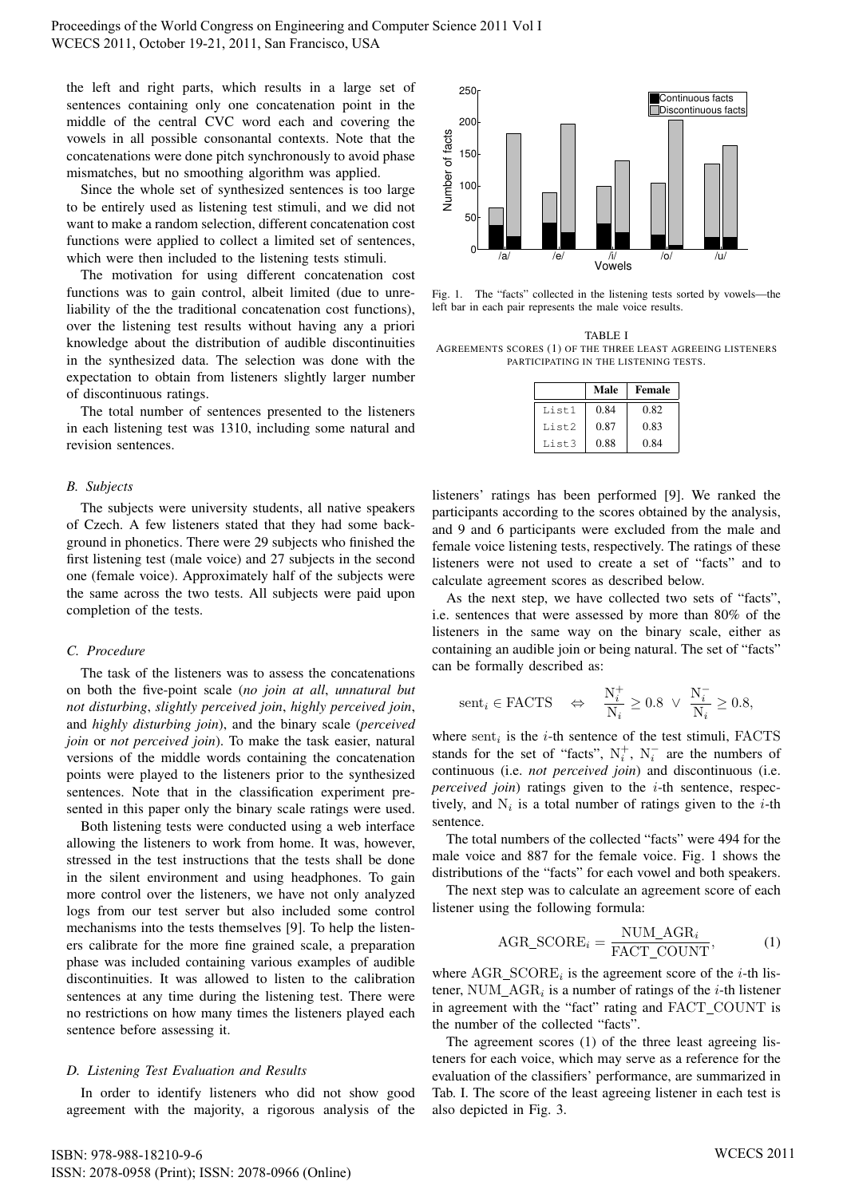the left and right parts, which results in a large set of sentences containing only one concatenation point in the middle of the central CVC word each and covering the vowels in all possible consonantal contexts. Note that the concatenations were done pitch synchronously to avoid phase mismatches, but no smoothing algorithm was applied.

Since the whole set of synthesized sentences is too large to be entirely used as listening test stimuli, and we did not want to make a random selection, different concatenation cost functions were applied to collect a limited set of sentences, which were then included to the listening tests stimuli.

The motivation for using different concatenation cost functions was to gain control, albeit limited (due to unreliability of the the traditional concatenation cost functions), over the listening test results without having any a priori knowledge about the distribution of audible discontinuities in the synthesized data. The selection was done with the expectation to obtain from listeners slightly larger number of discontinuous ratings.

The total number of sentences presented to the listeners in each listening test was 1310, including some natural and revision sentences.

## *B. Subjects*

The subjects were university students, all native speakers of Czech. A few listeners stated that they had some background in phonetics. There were 29 subjects who finished the first listening test (male voice) and 27 subjects in the second one (female voice). Approximately half of the subjects were the same across the two tests. All subjects were paid upon completion of the tests.

# *C. Procedure*

The task of the listeners was to assess the concatenations on both the five-point scale (*no join at all*, *unnatural but not disturbing*, *slightly perceived join*, *highly perceived join*, and *highly disturbing join*), and the binary scale (*perceived join* or *not perceived join*). To make the task easier, natural versions of the middle words containing the concatenation points were played to the listeners prior to the synthesized sentences. Note that in the classification experiment presented in this paper only the binary scale ratings were used.

Both listening tests were conducted using a web interface allowing the listeners to work from home. It was, however, stressed in the test instructions that the tests shall be done in the silent environment and using headphones. To gain more control over the listeners, we have not only analyzed logs from our test server but also included some control mechanisms into the tests themselves [9]. To help the listeners calibrate for the more fine grained scale, a preparation phase was included containing various examples of audible discontinuities. It was allowed to listen to the calibration sentences at any time during the listening test. There were no restrictions on how many times the listeners played each sentence before assessing it. which was to produce the majority in the majority and the majority in the majority and point of the majority and the majority and the majority and the majority and the majority and the majority and the majority and the li

## *D. Listening Test Evaluation and Results*

In order to identify listeners who did not show good



Fig. 1. The "facts" collected in the listening tests sorted by vowels—the left bar in each pair represents the male voice results.

TABLE I AGREEMENTS SCORES (1) OF THE THREE LEAST AGREEING LISTENERS PARTICIPATING IN THE LISTENING TESTS.

|       | Male | Female |
|-------|------|--------|
| List1 | 0.84 | 0.82   |
| List2 | 0.87 | 0.83   |
| List3 | 0.88 | 0.84   |

listeners' ratings has been performed [9]. We ranked the participants according to the scores obtained by the analysis, and 9 and 6 participants were excluded from the male and female voice listening tests, respectively. The ratings of these listeners were not used to create a set of "facts" and to calculate agreement scores as described below.

As the next step, we have collected two sets of "facts", i.e. sentences that were assessed by more than 80% of the listeners in the same way on the binary scale, either as containing an audible join or being natural. The set of "facts" can be formally described as:

$$
\text{sent}_i \in \text{FACTS} \quad \Leftrightarrow \quad \frac{\text{N}_i^+}{\text{N}_i} \ge 0.8 \ \lor \ \frac{\text{N}_i^-}{\text{N}_i} \ge 0.8,
$$

where  $\text{sent}_i$  is the *i*-th sentence of the test stimuli, FACTS stands for the set of "facts",  $N_i^+$ ,  $N_i^-$  are the numbers of continuous (i.e. *not perceived join*) and discontinuous (i.e. *perceived join*) ratings given to the *i*-th sentence, respectively, and  $N_i$  is a total number of ratings given to the *i*-th sentence.

The total numbers of the collected "facts" were 494 for the male voice and 887 for the female voice. Fig. 1 shows the distributions of the "facts" for each vowel and both speakers.

The next step was to calculate an agreement score of each listener using the following formula:

$$
AGR\_SCORE_i = \frac{NUM\_AGR_i}{FACT\_COUNT}, \tag{1}
$$

where  $\text{AGR\_SCORE}_i$  is the agreement score of the *i*-th listener, NUM\_AGR<sub>i</sub> is a number of ratings of the *i*-th listener in agreement with the "fact" rating and FACT COUNT is the number of the collected "facts".

The agreement scores (1) of the three least agreeing listeners for each voice, which may serve as a reference for the evaluation of the classifiers' performance, are summarized in Tab. I. The score of the least agreeing listener in each test is also depicted in Fig. 3.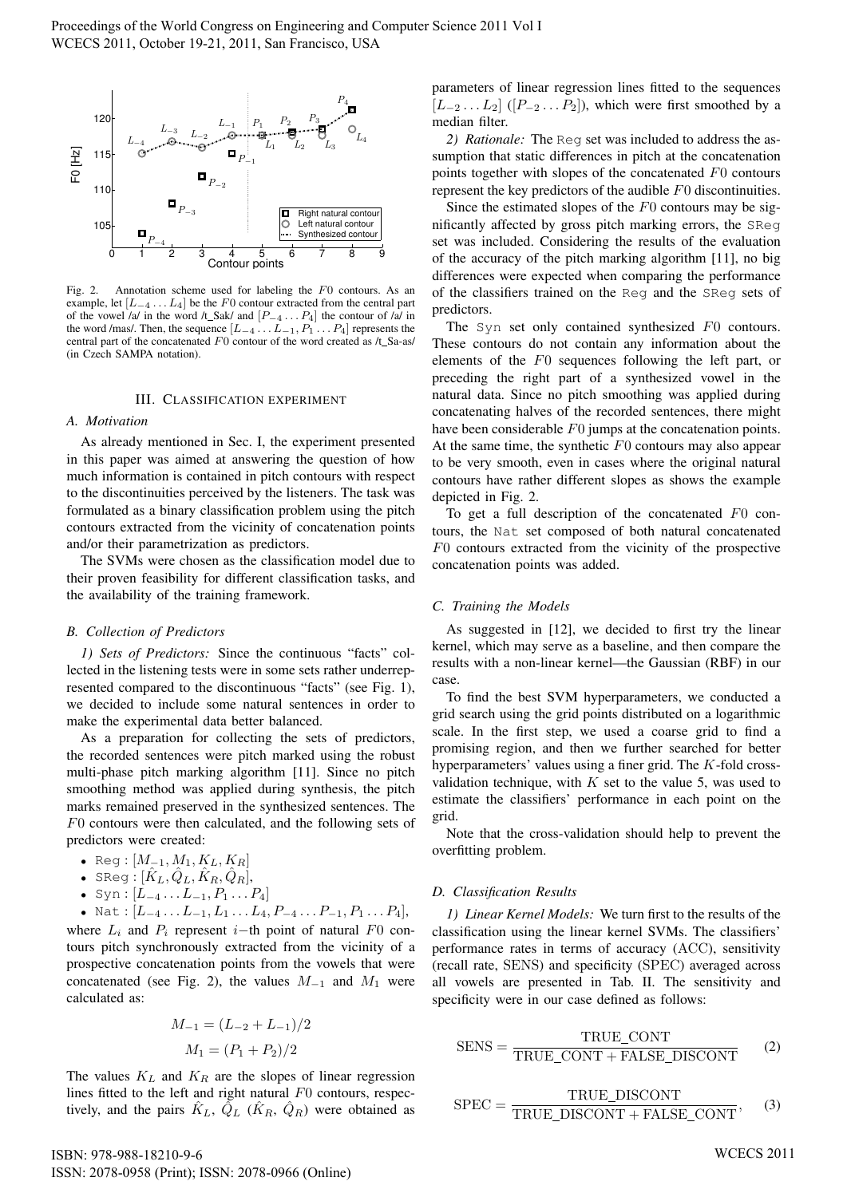

Fig. 2. Annotation scheme used for labeling the F0 contours. As an example, let  $[L_{-4} \ldots L_4]$  be the F0 contour extracted from the central part of the vowel  $a/d$  in the word  $\lambda$  Sak/ and  $[P_{-4} \dots P_4]$  the contour of  $\lambda/d$  in the word /mas/. Then, the sequence  $[L_{-4} \ldots L_{-1}, P_1 \ldots P_4]$  represents the central part of the concatenated  $F0$  contour of the word created as  $/t$ \_Sa-as/ (in Czech SAMPA notation).

#### III. CLASSIFICATION EXPERIMENT

#### *A. Motivation*

As already mentioned in Sec. I, the experiment presented in this paper was aimed at answering the question of how much information is contained in pitch contours with respect to the discontinuities perceived by the listeners. The task was formulated as a binary classification problem using the pitch contours extracted from the vicinity of concatenation points and/or their parametrization as predictors.

The SVMs were chosen as the classification model due to their proven feasibility for different classification tasks, and the availability of the training framework.

#### *B. Collection of Predictors*

*1) Sets of Predictors:* Since the continuous "facts" collected in the listening tests were in some sets rather underrepresented compared to the discontinuous "facts" (see Fig. 1), we decided to include some natural sentences in order to make the experimental data better balanced.

As a preparation for collecting the sets of predictors, the recorded sentences were pitch marked using the robust multi-phase pitch marking algorithm [11]. Since no pitch smoothing method was applied during synthesis, the pitch marks remained preserved in the synthesized sentences. The F0 contours were then calculated, and the following sets of predictors were created:

- Reg:  $[M_{-1}, M_1, K_L, K_R]$
- SReg:  $[\hat{K}_L, \hat{Q}_L, \hat{K}_R, \hat{Q}_R]$ ,
- Syn :  $[L_{-4} \ldots L_{-1}, P_1 \ldots P_4]$
- Nat :  $[L_{-4} \ldots L_{-1}, L_1 \ldots L_4, P_{-4} \ldots P_{-1}, P_1 \ldots P_4],$

where  $L_i$  and  $P_i$  represent i–th point of natural  $F0$  contours pitch synchronously extracted from the vicinity of a prospective concatenation points from the vowels that were concatenated (see Fig. 2), the values  $M_{-1}$  and  $M_1$  were calculated as:

$$
M_{-1} = (L_{-2} + L_{-1})/2
$$
  

$$
M_1 = (P_1 + P_2)/2
$$

The values  $K_L$  and  $K_R$  are the slopes of linear regression lines fitted to the left and right natural  $F0$  contours, respectively, and the pairs  $\hat{K}_L$ ,  $\hat{Q}_L$  ( $\hat{K}_R$ ,  $\hat{Q}_R$ ) were obtained as

parameters of linear regression lines fitted to the sequences  $[L_{-2} \ldots L_2]$  ( $[P_{-2} \ldots P_2]$ ), which were first smoothed by a median filter.

*2) Rationale:* The Reg set was included to address the assumption that static differences in pitch at the concatenation points together with slopes of the concatenated F0 contours represent the key predictors of the audible F0 discontinuities.

Since the estimated slopes of the  $F0$  contours may be significantly affected by gross pitch marking errors, the SReg set was included. Considering the results of the evaluation of the accuracy of the pitch marking algorithm [11], no big differences were expected when comparing the performance of the classifiers trained on the Reg and the SReg sets of predictors.

The Syn set only contained synthesized F0 contours. These contours do not contain any information about the elements of the F0 sequences following the left part, or preceding the right part of a synthesized vowel in the natural data. Since no pitch smoothing was applied during concatenating halves of the recorded sentences, there might have been considerable F0 jumps at the concatenation points. At the same time, the synthetic  $F_0$  contours may also appear to be very smooth, even in cases where the original natural contours have rather different slopes as shows the example depicted in Fig. 2.

To get a full description of the concatenated  $F0$  contours, the Nat set composed of both natural concatenated F0 contours extracted from the vicinity of the prospective concatenation points was added.

## *C. Training the Models*

As suggested in [12], we decided to first try the linear kernel, which may serve as a baseline, and then compare the results with a non-linear kernel—the Gaussian (RBF) in our case.

To find the best SVM hyperparameters, we conducted a grid search using the grid points distributed on a logarithmic scale. In the first step, we used a coarse grid to find a promising region, and then we further searched for better hyperparameters' values using a finer grid. The K-fold crossvalidation technique, with  $K$  set to the value 5, was used to estimate the classifiers' performance in each point on the grid.

Note that the cross-validation should help to prevent the overfitting problem.

#### *D. Classification Results*

*1) Linear Kernel Models:* We turn first to the results of the classification using the linear kernel SVMs. The classifiers' performance rates in terms of accuracy (ACC), sensitivity (recall rate, SENS) and specificity (SPEC) averaged across all vowels are presented in Tab. II. The sensitivity and specificity were in our case defined as follows:

$$
SENS = \frac{TRUE\_CONT}{TRUE\_CONT + FALSE\_DISCONT}
$$
 (2)

$$
SPEC = \frac{TRUE\_DISCONT}{TRUE\_DISCONT + FALSE\_CONT}, \quad (3)
$$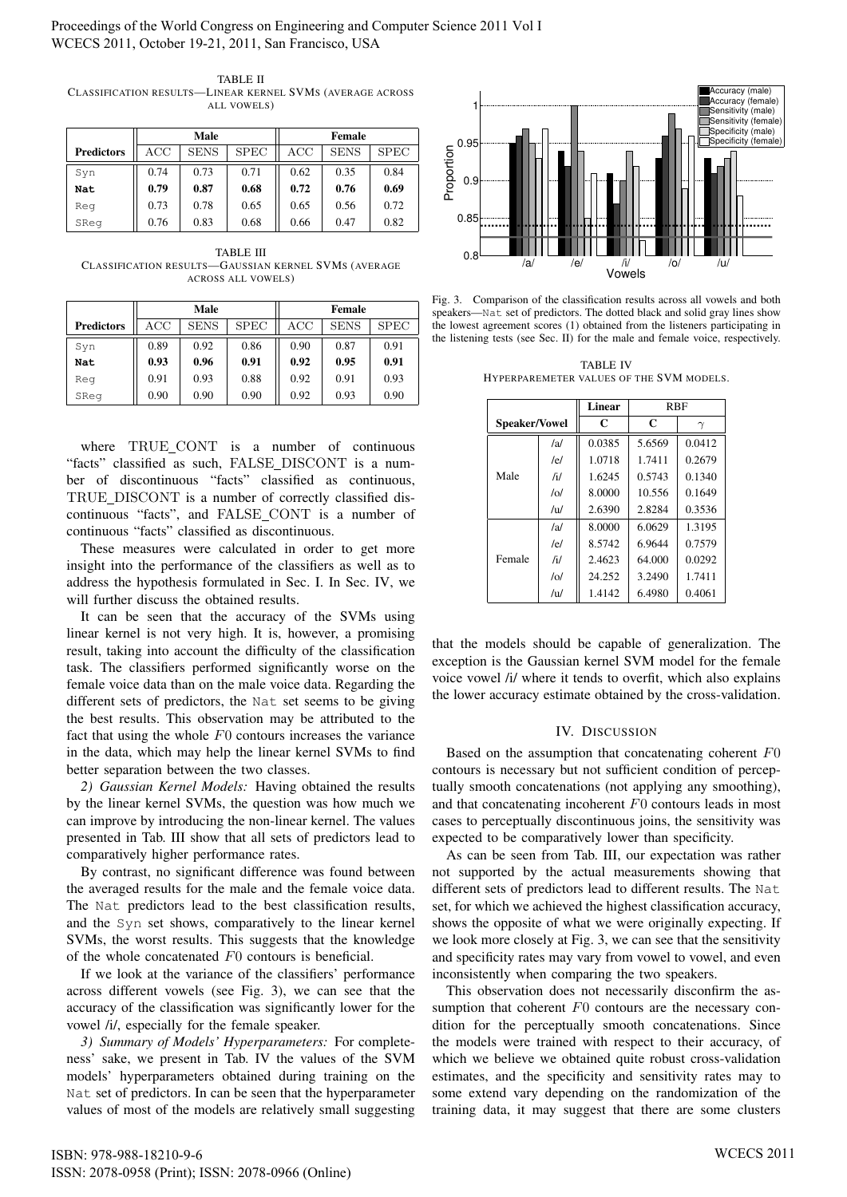Proceedings of the World Congress on Engineering and Computer Science 2011 Vol I WCECS 2011, October 19-21, 2011, San Francisco, USA

| TABLE II                                                  |
|-----------------------------------------------------------|
| CLASSIFICATION RESULTS—LINEAR KERNEL SVMS (AVERAGE ACROSS |
| ALL VOWELS)                                               |

|                   | Male      |             |             | <b>Female</b> |             |             |
|-------------------|-----------|-------------|-------------|---------------|-------------|-------------|
| <b>Predictors</b> | $\rm ACC$ | <b>SENS</b> | <b>SPEC</b> | ACC           | <b>SENS</b> | <b>SPEC</b> |
| Syn               | 0.74      | 0.73        | 0.71        | 0.62          | 0.35        | 0.84        |
| <b>Nat</b>        | 0.79      | 0.87        | 0.68        | 0.72          | 0.76        | 0.69        |
| Reg               | 0.73      | 0.78        | 0.65        | 0.65          | 0.56        | 0.72        |
| SReg              | 0.76      | 0.83        | 0.68        | 0.66          | 0.47        | 0.82        |

TABLE III CLASSIFICATION RESULTS—GAUSSIAN KERNEL SVMS (AVERAGE ACROSS ALL VOWELS)

|                   | Male      |             |             | Female |             |             |
|-------------------|-----------|-------------|-------------|--------|-------------|-------------|
| <b>Predictors</b> | $\rm ACC$ | <b>SENS</b> | <b>SPEC</b> | ACC    | <b>SENS</b> | <b>SPEC</b> |
| Syn               | 0.89      | 0.92        | 0.86        | 0.90   | 0.87        | 0.91        |
| Nat               | 0.93      | 0.96        | 0.91        | 0.92   | 0.95        | 0.91        |
| Reg               | 0.91      | 0.93        | 0.88        | 0.92   | 0.91        | 0.93        |
| SReg              | 0.90      | 0.90        | 0.90        | 0.92   | 0.93        | 0.90        |

where TRUE\_CONT is a number of continuous "facts" classified as such, FALSE\_DISCONT is a number of discontinuous "facts" classified as continuous, TRUE DISCONT is a number of correctly classified discontinuous "facts", and FALSE CONT is a number of continuous "facts" classified as discontinuous.

These measures were calculated in order to get more insight into the performance of the classifiers as well as to address the hypothesis formulated in Sec. I. In Sec. IV, we will further discuss the obtained results.

It can be seen that the accuracy of the SVMs using linear kernel is not very high. It is, however, a promising result, taking into account the difficulty of the classification task. The classifiers performed significantly worse on the female voice data than on the male voice data. Regarding the different sets of predictors, the Nat set seems to be giving the best results. This observation may be attributed to the fact that using the whole  $F0$  contours increases the variance in the data, which may help the linear kernel SVMs to find better separation between the two classes. Contention of the most of the most of the most of most of most of most of the most of the most of the most of the most of the most of the most of the most of the most of the most of the most of the most of the most of the

*2) Gaussian Kernel Models:* Having obtained the results by the linear kernel SVMs, the question was how much we can improve by introducing the non-linear kernel. The values presented in Tab. III show that all sets of predictors lead to comparatively higher performance rates.

By contrast, no significant difference was found between the averaged results for the male and the female voice data. The Nat predictors lead to the best classification results, and the Syn set shows, comparatively to the linear kernel SVMs, the worst results. This suggests that the knowledge of the whole concatenated F0 contours is beneficial.

If we look at the variance of the classifiers' performance across different vowels (see Fig. 3), we can see that the accuracy of the classification was significantly lower for the vowel /i/, especially for the female speaker.

*3) Summary of Models' Hyperparameters:* For completeness' sake, we present in Tab. IV the values of the SVM models' hyperparameters obtained during training on the Nat set of predictors. In can be seen that the hyperparameter



Fig. 3. Comparison of the classification results across all vowels and both speakers—Nat set of predictors. The dotted black and solid gray lines show the lowest agreement scores (1) obtained from the listeners participating in the listening tests (see Sec. II) for the male and female voice, respectively.

TABLE IV HYPERPAREMETER VALUES OF THE SVM MODELS.

|                      |     | <b>Linear</b> | <b>RBF</b>  |          |  |
|----------------------|-----|---------------|-------------|----------|--|
| <b>Speaker/Vowel</b> |     | $\mathbf C$   | $\mathbf C$ | $\gamma$ |  |
|                      | /al | 0.0385        | 5.6569      | 0.0412   |  |
|                      | /el | 1.0718        | 1.7411      | 0.2679   |  |
| Male                 | /i/ | 1.6245        | 0.5743      | 0.1340   |  |
|                      | /ol | 8.0000        | 10.556      | 0.1649   |  |
|                      | /u/ | 2.6390        | 2.8284      | 0.3536   |  |
|                      | /a/ | 8.0000        | 6.0629      | 1.3195   |  |
| Female               | /el | 8.5742        | 6.9644      | 0.7579   |  |
|                      | /i/ | 2.4623        | 64.000      | 0.0292   |  |
|                      | /o/ | 24.252        | 3.2490      | 1.7411   |  |
|                      | /u  | 1.4142        | 6.4980      | 0.4061   |  |

that the models should be capable of generalization. The exception is the Gaussian kernel SVM model for the female voice vowel /i/ where it tends to overfit, which also explains the lower accuracy estimate obtained by the cross-validation.

## IV. DISCUSSION

Based on the assumption that concatenating coherent F0 contours is necessary but not sufficient condition of perceptually smooth concatenations (not applying any smoothing), and that concatenating incoherent F0 contours leads in most cases to perceptually discontinuous joins, the sensitivity was expected to be comparatively lower than specificity.

As can be seen from Tab. III, our expectation was rather not supported by the actual measurements showing that different sets of predictors lead to different results. The Nat set, for which we achieved the highest classification accuracy, shows the opposite of what we were originally expecting. If we look more closely at Fig. 3, we can see that the sensitivity and specificity rates may vary from vowel to vowel, and even inconsistently when comparing the two speakers.

This observation does not necessarily disconfirm the assumption that coherent  $F0$  contours are the necessary condition for the perceptually smooth concatenations. Since the models were trained with respect to their accuracy, of which we believe we obtained quite robust cross-validation estimates, and the specificity and sensitivity rates may to some extend vary depending on the randomization of the training data, it may suggest that there are some clusters